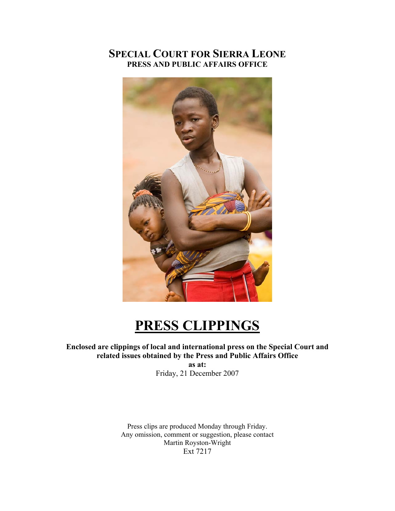## **SPECIAL COURT FOR SIERRA LEONE PRESS AND PUBLIC AFFAIRS OFFICE**



# **PRESS CLIPPINGS**

#### **Enclosed are clippings of local and international press on the Special Court and related issues obtained by the Press and Public Affairs Office**

**as at:**  Friday, 21 December 2007

Press clips are produced Monday through Friday. Any omission, comment or suggestion, please contact Martin Royston-Wright Ext 7217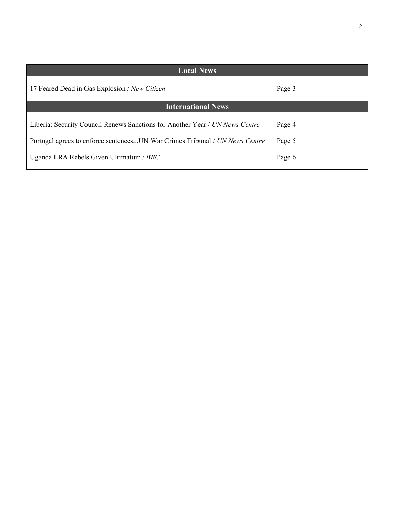2

| <b>Local News</b>                                                                                                                                                                                      |                            |  |  |  |  |
|--------------------------------------------------------------------------------------------------------------------------------------------------------------------------------------------------------|----------------------------|--|--|--|--|
| 17 Feared Dead in Gas Explosion / New Citizen                                                                                                                                                          | Page 3                     |  |  |  |  |
| <b>International News</b>                                                                                                                                                                              |                            |  |  |  |  |
| Liberia: Security Council Renews Sanctions for Another Year / UN News Centre<br>Portugal agrees to enforce sentencesUN War Crimes Tribunal / UN News Centre<br>Uganda LRA Rebels Given Ultimatum / BBC | Page 4<br>Page 5<br>Page 6 |  |  |  |  |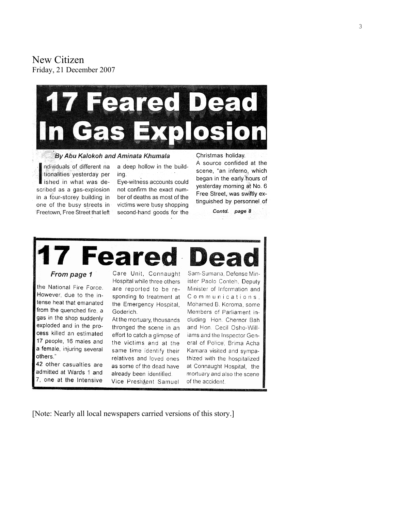New Citizen Friday, 21 December 2007



By Abu Kalokoh and Aminata Khumala

ndividuals of different na tionalities yesterday per ished in what was described as a gas-explosion in a four-storey building in one of the busy streets in Freetown, Free Street that left a deep hollow in the building.

Eye-witness accounts could not confirm the exact number of deaths as most of the victims were busy shopping second-hand goods for the A source confided at the scene, "an inferno, which began in the early hours of yesterday morning at No. 6 Free Street, was swiftly extinguished by personnel of

Contd. page 8



the National Fire Force. However, due to the intense heat that emanated from the quenched fire, a gas in the shop suddenly exploded and in the process killed an estimated 17 people, 16 males and a female, injuring several others."

42 other casualties are admitted at Wards 1 and 7, one at the Intensive Hospital while three others are reported to be responding to treatment at the Emergency Hospital, Goderich.

At the mortuary, thousands thronged the scene in an effort to catch a glimpse of the victims and at the same time identify their relatives and loved ones as some of the dead have already been identified. Vice President Samuel

ister Paolo Conteh, Deputy Minister of Information and Communications. Mohamed B. Koroma, some Members of Parliament including Hon. Chernor Bah and Hon. Cecil Osho-Williams and the Inspector General of Police, Brima Acha Kamara visited and sympathized with the hospitalized at Connaught Hospital, the mortuary and also the scene of the accident.

[Note: Nearly all local newspapers carried versions of this story.]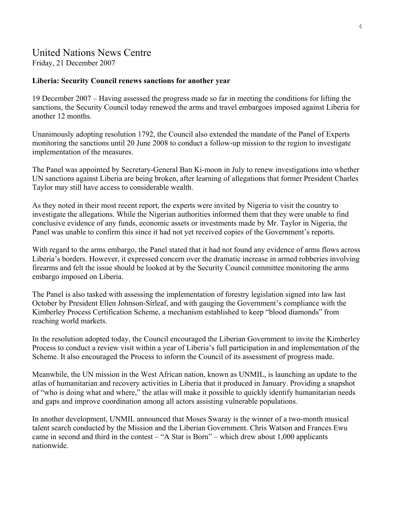## United Nations News Centre

Friday, 21 December 2007

#### **Liberia: Security Council renews sanctions for another year**

19 December 2007 – Having assessed the progress made so far in meeting the conditions for lifting the sanctions, the Security Council today renewed the arms and travel embargoes imposed against Liberia for another 12 months.

Unanimously adopting resolution 1792, the Council also extended the mandate of the Panel of Experts monitoring the sanctions until 20 June 2008 to conduct a follow-up mission to the region to investigate implementation of the measures.

The Panel was appointed by Secretary-General Ban Ki-moon in July to renew investigations into whether UN sanctions against Liberia are being broken, after learning of allegations that former President Charles Taylor may still have access to considerable wealth.

As they noted in their most recent report, the experts were invited by Nigeria to visit the country to investigate the allegations. While the Nigerian authorities informed them that they were unable to find conclusive evidence of any funds, economic assets or investments made by Mr. Taylor in Nigeria, the Panel was unable to confirm this since it had not yet received copies of the Government's reports.

With regard to the arms embargo, the Panel stated that it had not found any evidence of arms flows across Liberia's borders. However, it expressed concern over the dramatic increase in armed robberies involving firearms and felt the issue should be looked at by the Security Council committee monitoring the arms embargo imposed on Liberia.

The Panel is also tasked with assessing the implementation of forestry legislation signed into law last October by President Ellen Johnson-Sirleaf, and with gauging the Government's compliance with the Kimberley Process Certification Scheme, a mechanism established to keep "blood diamonds" from reaching world markets.

In the resolution adopted today, the Council encouraged the Liberian Government to invite the Kimberley Process to conduct a review visit within a year of Liberia's full participation in and implementation of the Scheme. It also encouraged the Process to inform the Council of its assessment of progress made.

Meanwhile, the UN mission in the West African nation, known as UNMIL, is launching an update to the atlas of humanitarian and recovery activities in Liberia that it produced in January. Providing a snapshot of "who is doing what and where," the atlas will make it possible to quickly identify humanitarian needs and gaps and improve coordination among all actors assisting vulnerable populations.

In another development, UNMIL announced that Moses Swaray is the winner of a two-month musical talent search conducted by the Mission and the Liberian Government. Chris Watson and Frances Ewu came in second and third in the contest – "A Star is Born" – which drew about 1,000 applicants nationwide.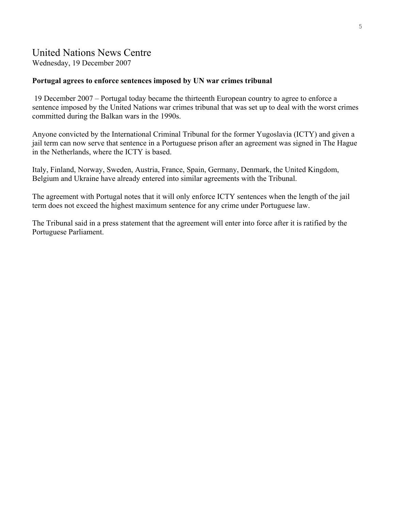### United Nations News Centre

Wednesday, 19 December 2007

#### **Portugal agrees to enforce sentences imposed by UN war crimes tribunal**

 19 December 2007 – Portugal today became the thirteenth European country to agree to enforce a sentence imposed by the United Nations war crimes tribunal that was set up to deal with the worst crimes committed during the Balkan wars in the 1990s.

Anyone convicted by the International Criminal Tribunal for the former Yugoslavia (ICTY) and given a jail term can now serve that sentence in a Portuguese prison after an agreement was signed in The Hague in the Netherlands, where the ICTY is based.

Italy, Finland, Norway, Sweden, Austria, France, Spain, Germany, Denmark, the United Kingdom, Belgium and Ukraine have already entered into similar agreements with the Tribunal.

The agreement with Portugal notes that it will only enforce ICTY sentences when the length of the jail term does not exceed the highest maximum sentence for any crime under Portuguese law.

The Tribunal said in a press statement that the agreement will enter into force after it is ratified by the Portuguese Parliament.